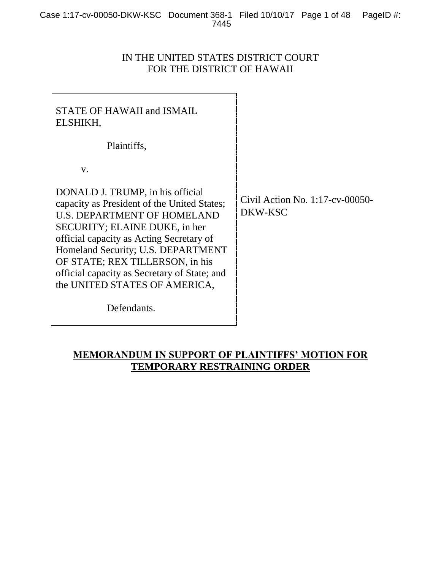# IN THE UNITED STATES DISTRICT COURT FOR THE DISTRICT OF HAWAII

| STATE OF HAWAII and ISMAIL<br>ELSHIKH,                                                                                                                                                                                                                                                                                                                       |                                               |
|--------------------------------------------------------------------------------------------------------------------------------------------------------------------------------------------------------------------------------------------------------------------------------------------------------------------------------------------------------------|-----------------------------------------------|
| Plaintiffs,                                                                                                                                                                                                                                                                                                                                                  |                                               |
| V.                                                                                                                                                                                                                                                                                                                                                           |                                               |
| DONALD J. TRUMP, in his official<br>capacity as President of the United States;<br><b>U.S. DEPARTMENT OF HOMELAND</b><br>SECURITY; ELAINE DUKE, in her<br>official capacity as Acting Secretary of<br>Homeland Security; U.S. DEPARTMENT<br>OF STATE; REX TILLERSON, in his<br>official capacity as Secretary of State; and<br>the UNITED STATES OF AMERICA, | Civil Action No. $1:17$ -cv-00050-<br>DKW-KSC |
| Defendants.                                                                                                                                                                                                                                                                                                                                                  |                                               |

# **MEMORANDUM IN SUPPORT OF PLAINTIFFS' MOTION FOR TEMPORARY RESTRAINING ORDER**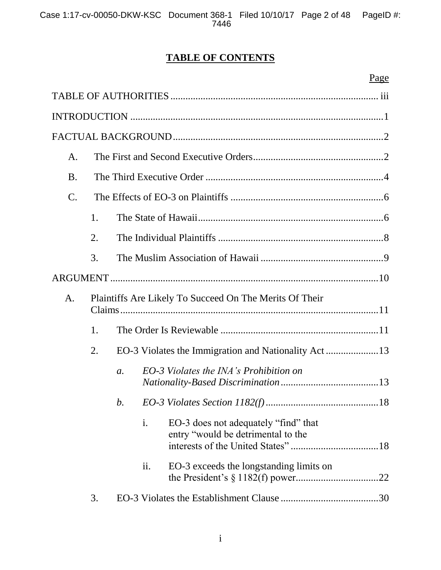# **TABLE OF CONTENTS**

|                 |                                                         |                  | Page                                                                       |  |
|-----------------|---------------------------------------------------------|------------------|----------------------------------------------------------------------------|--|
|                 |                                                         |                  |                                                                            |  |
|                 |                                                         |                  |                                                                            |  |
|                 |                                                         |                  |                                                                            |  |
| A.              |                                                         |                  |                                                                            |  |
| <b>B.</b>       |                                                         |                  |                                                                            |  |
| $\mathcal{C}$ . |                                                         |                  |                                                                            |  |
|                 | 1.                                                      |                  |                                                                            |  |
|                 | 2.                                                      |                  |                                                                            |  |
|                 | 3.                                                      |                  |                                                                            |  |
|                 |                                                         |                  |                                                                            |  |
| A.              | Plaintiffs Are Likely To Succeed On The Merits Of Their |                  |                                                                            |  |
|                 | 1.                                                      |                  |                                                                            |  |
|                 | 2.                                                      |                  |                                                                            |  |
|                 |                                                         | $\mathfrak{a}$ . | EO-3 Violates the INA's Prohibition on                                     |  |
|                 |                                                         | b.               |                                                                            |  |
|                 |                                                         | i.               | EO-3 does not adequately "find" that<br>entry "would be detrimental to the |  |
|                 |                                                         | ii.              | EO-3 exceeds the longstanding limits on                                    |  |
|                 | 3.                                                      |                  |                                                                            |  |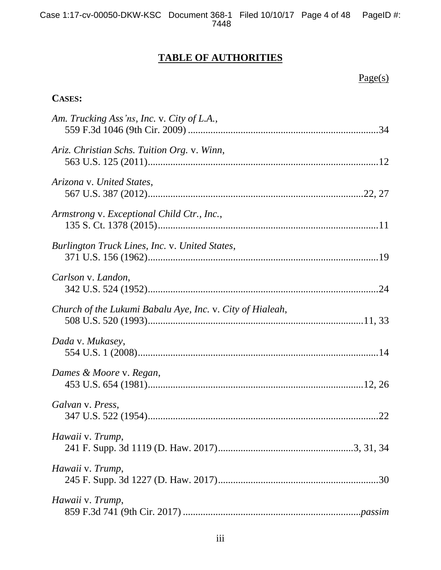# **TABLE OF AUTHORITIES**

|  | ı. |  |  |
|--|----|--|--|
|  |    |  |  |

# **CASES:**

| Am. Trucking Ass'ns, Inc. v. City of L.A.,                |
|-----------------------------------------------------------|
| Ariz. Christian Schs. Tuition Org. v. Winn,               |
| Arizona v. United States,                                 |
| Armstrong v. Exceptional Child Ctr., Inc.,                |
| Burlington Truck Lines, Inc. v. United States,            |
| Carlson v. Landon,                                        |
| Church of the Lukumi Babalu Aye, Inc. v. City of Hialeah, |
| Dada v. Mukasey,                                          |
| Dames & Moore v. Regan,                                   |
| Galvan v. Press,                                          |
| Hawaii v. Trump,                                          |
| Hawaii v. Trump,                                          |
| Hawaii v. Trump,                                          |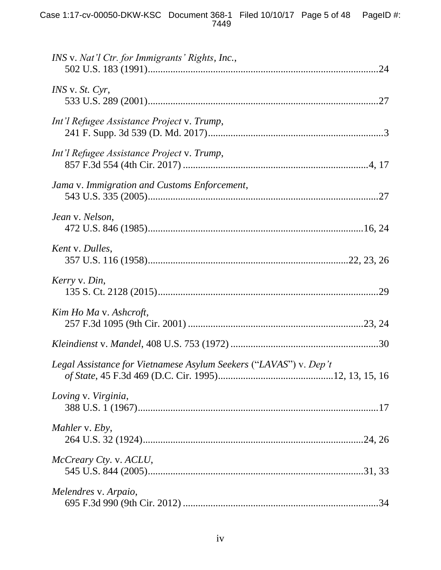| INS v. Nat'l Ctr. for Immigrants' Rights, Inc.,                   |
|-------------------------------------------------------------------|
| $INS$ v. $St.$ $Cyr$ ,                                            |
| Int'l Refugee Assistance Project v. Trump,                        |
| Int'l Refugee Assistance Project v. Trump,                        |
| Jama v. Immigration and Customs Enforcement,                      |
| Jean v. Nelson,                                                   |
| Kent v. Dulles,                                                   |
| Kerry v. Din,                                                     |
| Kim Ho Ma v. Ashcroft,                                            |
|                                                                   |
| Legal Assistance for Vietnamese Asylum Seekers ("LAVAS") v. Dep't |
| Loving v. Virginia,                                               |
| Mahler v. Eby,                                                    |
| McCreary Cty. v. ACLU,                                            |
| Melendres v. Arpaio,                                              |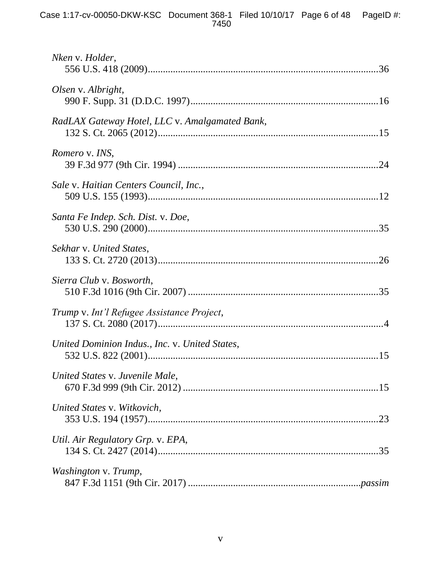| Nken v. Holder,                                |
|------------------------------------------------|
| Olsen v. Albright,                             |
| RadLAX Gateway Hotel, LLC v. Amalgamated Bank, |
| Romero v. INS,                                 |
| Sale v. Haitian Centers Council, Inc.,         |
| Santa Fe Indep. Sch. Dist. v. Doe,             |
| Sekhar v. United States,                       |
| Sierra Club v. Bosworth,                       |
| Trump v. Int'l Refugee Assistance Project,     |
| United Dominion Indus., Inc. v. United States, |
| United States v. Juvenile Male,                |
| United States v. Witkovich,                    |
| Util. Air Regulatory Grp. v. EPA,              |
| Washington v. Trump,                           |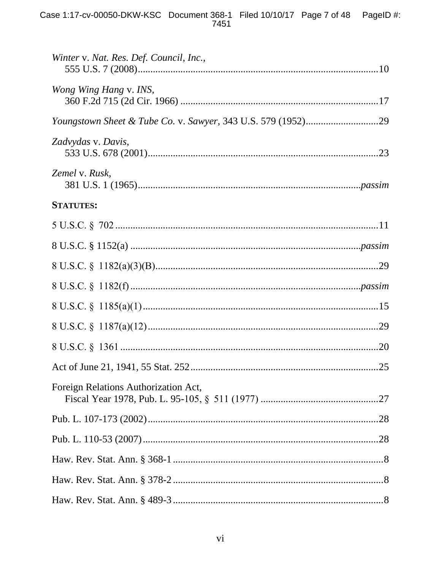| Winter v. Nat. Res. Def. Council, Inc., |  |
|-----------------------------------------|--|
| <i>Wong Wing Hang v. INS,</i>           |  |
|                                         |  |
|                                         |  |
| Zadvydas v. Davis,                      |  |
| Zemel v. Rusk,                          |  |
| <b>STATUTES:</b>                        |  |
|                                         |  |
|                                         |  |
|                                         |  |
|                                         |  |
|                                         |  |
|                                         |  |
|                                         |  |
|                                         |  |
| Foreign Relations Authorization Act,    |  |
|                                         |  |
|                                         |  |
|                                         |  |
|                                         |  |
|                                         |  |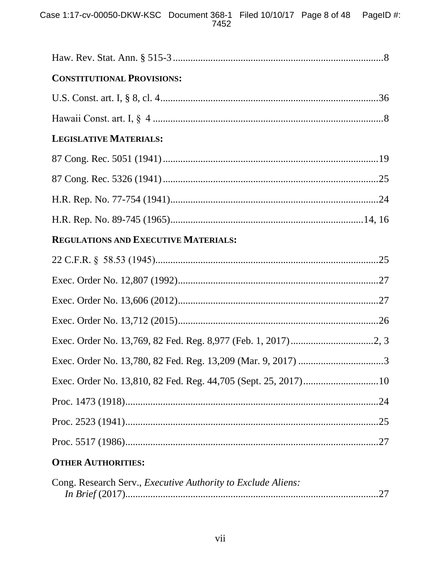Case 1:17-cv-00050-DKW-KSC Document 368-1 Filed 10/10/17 Page 8 of 48 PageID #:<br>7452

| Cong. Research Serv., <i>Executive Authority to Exclude Aliens</i> : |  |
|----------------------------------------------------------------------|--|
|                                                                      |  |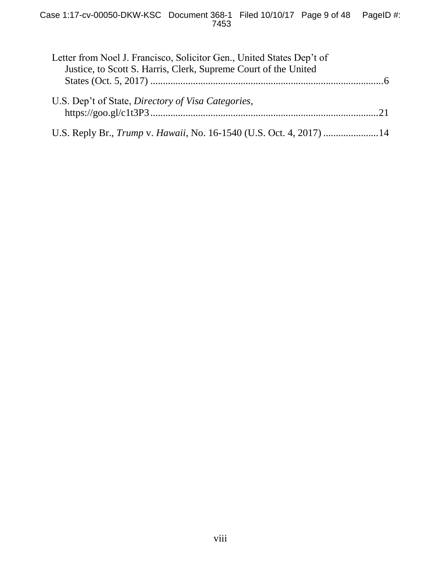| Letter from Noel J. Francisco, Solicitor Gen., United States Dep't of |  |
|-----------------------------------------------------------------------|--|
| Justice, to Scott S. Harris, Clerk, Supreme Court of the United       |  |
|                                                                       |  |
| U.S. Dep't of State, Directory of Visa Categories,                    |  |
|                                                                       |  |
|                                                                       |  |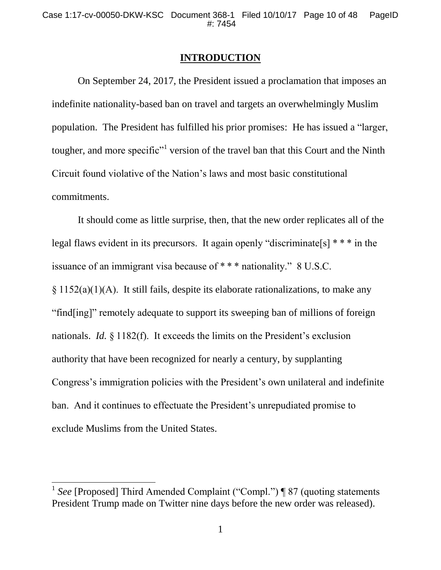# **INTRODUCTION**

On September 24, 2017, the President issued a proclamation that imposes an indefinite nationality-based ban on travel and targets an overwhelmingly Muslim population. The President has fulfilled his prior promises: He has issued a "larger, tougher, and more specific<sup>"1</sup> version of the travel ban that this Court and the Ninth Circuit found violative of the Nation's laws and most basic constitutional commitments.

It should come as little surprise, then, that the new order replicates all of the legal flaws evident in its precursors. It again openly "discriminate[s] \* \* \* in the issuance of an immigrant visa because of \* \* \* nationality." 8 U.S.C. § 1152(a)(1)(A). It still fails, despite its elaborate rationalizations, to make any "find[ing]" remotely adequate to support its sweeping ban of millions of foreign nationals. *Id.* § 1182(f). It exceeds the limits on the President's exclusion authority that have been recognized for nearly a century, by supplanting Congress's immigration policies with the President's own unilateral and indefinite ban. And it continues to effectuate the President's unrepudiated promise to exclude Muslims from the United States.

<sup>&</sup>lt;sup>1</sup> See [Proposed] Third Amended Complaint ("Compl.") ¶ 87 (quoting statements President Trump made on Twitter nine days before the new order was released).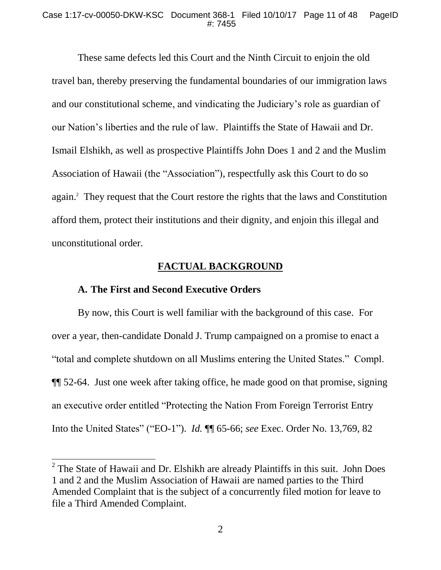These same defects led this Court and the Ninth Circuit to enjoin the old travel ban, thereby preserving the fundamental boundaries of our immigration laws and our constitutional scheme, and vindicating the Judiciary's role as guardian of our Nation's liberties and the rule of law. Plaintiffs the State of Hawaii and Dr. Ismail Elshikh, as well as prospective Plaintiffs John Does 1 and 2 and the Muslim Association of Hawaii (the "Association"), respectfully ask this Court to do so again.<sup>2</sup> They request that the Court restore the rights that the laws and Constitution afford them, protect their institutions and their dignity, and enjoin this illegal and unconstitutional order.

## **FACTUAL BACKGROUND**

## **A. The First and Second Executive Orders**

By now, this Court is well familiar with the background of this case. For over a year, then-candidate Donald J. Trump campaigned on a promise to enact a "total and complete shutdown on all Muslims entering the United States." Compl. ¶¶ 52-64. Just one week after taking office, he made good on that promise, signing an executive order entitled "Protecting the Nation From Foreign Terrorist Entry Into the United States" ("EO-1"). *Id.* ¶¶ 65-66; *see* Exec. Order No. 13,769, 82

 $2^2$  The State of Hawaii and Dr. Elshikh are already Plaintiffs in this suit. John Does 1 and 2 and the Muslim Association of Hawaii are named parties to the Third Amended Complaint that is the subject of a concurrently filed motion for leave to file a Third Amended Complaint.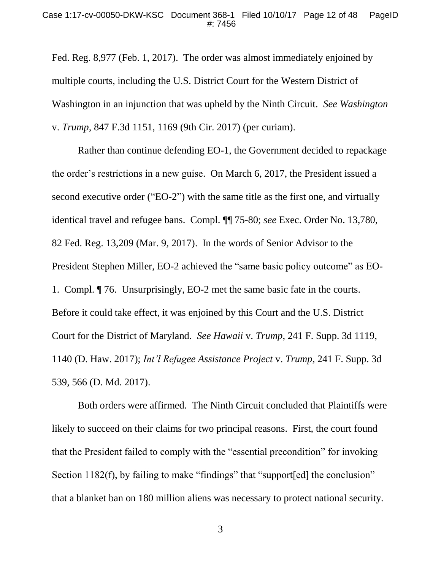Fed. Reg. 8,977 (Feb. 1, 2017). The order was almost immediately enjoined by multiple courts, including the U.S. District Court for the Western District of Washington in an injunction that was upheld by the Ninth Circuit. *See Washington*  v. *Trump*, 847 F.3d 1151, 1169 (9th Cir. 2017) (per curiam).

Rather than continue defending EO-1, the Government decided to repackage the order's restrictions in a new guise. On March 6, 2017, the President issued a second executive order ("EO-2") with the same title as the first one, and virtually identical travel and refugee bans. Compl. ¶¶ 75-80; *see* Exec. Order No. 13,780, 82 Fed. Reg. 13,209 (Mar. 9, 2017). In the words of Senior Advisor to the President Stephen Miller, EO-2 achieved the "same basic policy outcome" as EO-1. Compl. ¶ 76. Unsurprisingly, EO-2 met the same basic fate in the courts. Before it could take effect, it was enjoined by this Court and the U.S. District Court for the District of Maryland. *See Hawaii* v. *Trump*, 241 F. Supp. 3d 1119, 1140 (D. Haw. 2017); *Int'l Refugee Assistance Project* v. *Trump*, 241 F. Supp. 3d 539, 566 (D. Md. 2017).

Both orders were affirmed. The Ninth Circuit concluded that Plaintiffs were likely to succeed on their claims for two principal reasons. First, the court found that the President failed to comply with the "essential precondition" for invoking Section 1182(f), by failing to make "findings" that "support[ed] the conclusion" that a blanket ban on 180 million aliens was necessary to protect national security.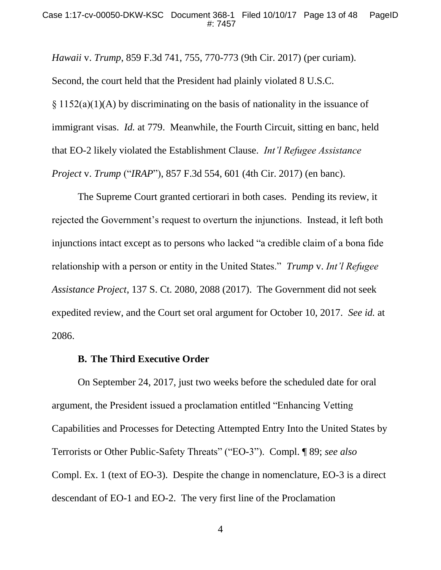*Hawaii* v. *Trump*, 859 F.3d 741, 755, 770-773 (9th Cir. 2017) (per curiam). Second, the court held that the President had plainly violated 8 U.S.C. § 1152(a)(1)(A) by discriminating on the basis of nationality in the issuance of immigrant visas. *Id.* at 779. Meanwhile, the Fourth Circuit, sitting en banc, held that EO-2 likely violated the Establishment Clause. *Int'l Refugee Assistance Project* v. *Trump* ("*IRAP*"), 857 F.3d 554, 601 (4th Cir. 2017) (en banc).

The Supreme Court granted certiorari in both cases. Pending its review, it rejected the Government's request to overturn the injunctions. Instead, it left both injunctions intact except as to persons who lacked "a credible claim of a bona fide relationship with a person or entity in the United States." *Trump* v. *Int'l Refugee Assistance Project*, 137 S. Ct. 2080, 2088 (2017). The Government did not seek expedited review, and the Court set oral argument for October 10, 2017. *See id.* at 2086.

#### **B. The Third Executive Order**

On September 24, 2017, just two weeks before the scheduled date for oral argument, the President issued a proclamation entitled "Enhancing Vetting Capabilities and Processes for Detecting Attempted Entry Into the United States by Terrorists or Other Public-Safety Threats" ("EO-3"). Compl. ¶ 89; *see also*  Compl. Ex. 1 (text of EO-3). Despite the change in nomenclature, EO-3 is a direct descendant of EO-1 and EO-2. The very first line of the Proclamation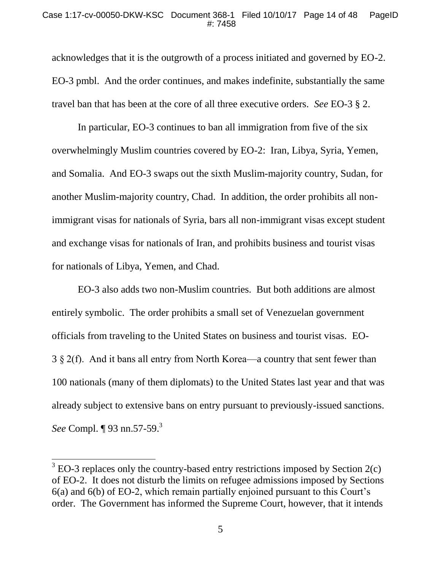acknowledges that it is the outgrowth of a process initiated and governed by EO-2. EO-3 pmbl. And the order continues, and makes indefinite, substantially the same travel ban that has been at the core of all three executive orders. *See* EO-3 § 2.

In particular, EO-3 continues to ban all immigration from five of the six overwhelmingly Muslim countries covered by EO-2: Iran, Libya, Syria, Yemen, and Somalia. And EO-3 swaps out the sixth Muslim-majority country, Sudan, for another Muslim-majority country, Chad. In addition, the order prohibits all nonimmigrant visas for nationals of Syria, bars all non-immigrant visas except student and exchange visas for nationals of Iran, and prohibits business and tourist visas for nationals of Libya, Yemen, and Chad.

EO-3 also adds two non-Muslim countries. But both additions are almost entirely symbolic. The order prohibits a small set of Venezuelan government officials from traveling to the United States on business and tourist visas. EO-3 § 2(f). And it bans all entry from North Korea—a country that sent fewer than 100 nationals (many of them diplomats) to the United States last year and that was already subject to extensive bans on entry pursuant to previously-issued sanctions. *See* Compl. ¶ 93 nn.57-59.<sup>3</sup>

 $3$  EO-3 replaces only the country-based entry restrictions imposed by Section 2(c) of EO-2. It does not disturb the limits on refugee admissions imposed by Sections 6(a) and 6(b) of EO-2, which remain partially enjoined pursuant to this Court's order. The Government has informed the Supreme Court, however, that it intends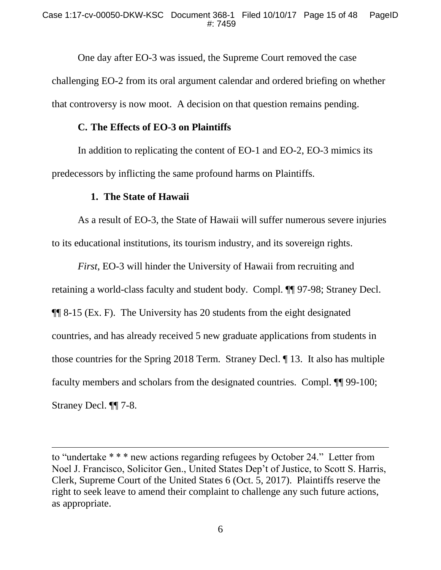One day after EO-3 was issued, the Supreme Court removed the case challenging EO-2 from its oral argument calendar and ordered briefing on whether that controversy is now moot. A decision on that question remains pending.

## **C. The Effects of EO-3 on Plaintiffs**

In addition to replicating the content of EO-1 and EO-2, EO-3 mimics its predecessors by inflicting the same profound harms on Plaintiffs.

## **1. The State of Hawaii**

As a result of EO-3, the State of Hawaii will suffer numerous severe injuries to its educational institutions, its tourism industry, and its sovereign rights.

*First*, EO-3 will hinder the University of Hawaii from recruiting and retaining a world-class faculty and student body. Compl. ¶¶ 97-98; Straney Decl. ¶¶ 8-15 (Ex. F). The University has 20 students from the eight designated countries, and has already received 5 new graduate applications from students in those countries for the Spring 2018 Term. Straney Decl. ¶ 13. It also has multiple faculty members and scholars from the designated countries. Compl. ¶¶ 99-100; Straney Decl. ¶¶ 7-8.

to "undertake \* \* \* new actions regarding refugees by October 24." Letter from Noel J. Francisco, Solicitor Gen., United States Dep't of Justice, to Scott S. Harris, Clerk, Supreme Court of the United States 6 (Oct. 5, 2017). Plaintiffs reserve the right to seek leave to amend their complaint to challenge any such future actions, as appropriate.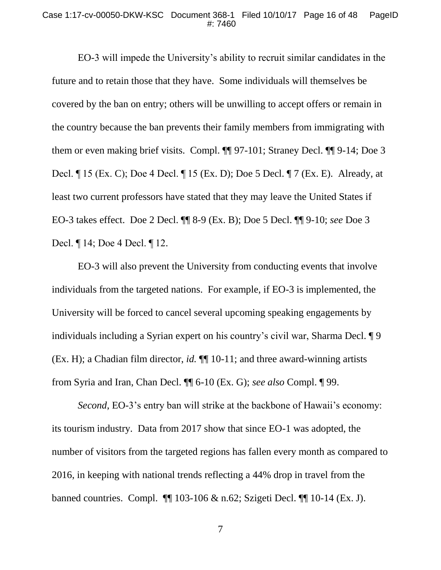#### Case 1:17-cv-00050-DKW-KSC Document 368-1 Filed 10/10/17 Page 16 of 48 PageID #: 7460

EO-3 will impede the University's ability to recruit similar candidates in the future and to retain those that they have. Some individuals will themselves be covered by the ban on entry; others will be unwilling to accept offers or remain in the country because the ban prevents their family members from immigrating with them or even making brief visits. Compl. ¶¶ 97-101; Straney Decl. ¶¶ 9-14; Doe 3 Decl. ¶ 15 (Ex. C); Doe 4 Decl. ¶ 15 (Ex. D); Doe 5 Decl. ¶ 7 (Ex. E). Already, at least two current professors have stated that they may leave the United States if EO-3 takes effect. Doe 2 Decl. ¶¶ 8-9 (Ex. B); Doe 5 Decl. ¶¶ 9-10; *see* Doe 3 Decl. ¶ 14; Doe 4 Decl. ¶ 12.

EO-3 will also prevent the University from conducting events that involve individuals from the targeted nations. For example, if EO-3 is implemented, the University will be forced to cancel several upcoming speaking engagements by individuals including a Syrian expert on his country's civil war, Sharma Decl. ¶ 9 (Ex. H); a Chadian film director, *id.* ¶¶ 10-11; and three award-winning artists from Syria and Iran, Chan Decl. ¶¶ 6-10 (Ex. G); *see also* Compl. ¶ 99.

*Second*, EO-3's entry ban will strike at the backbone of Hawaii's economy: its tourism industry. Data from 2017 show that since EO-1 was adopted, the number of visitors from the targeted regions has fallen every month as compared to 2016, in keeping with national trends reflecting a 44% drop in travel from the banned countries. Compl. ¶¶ 103-106 & n.62; Szigeti Decl. ¶¶ 10-14 (Ex. J).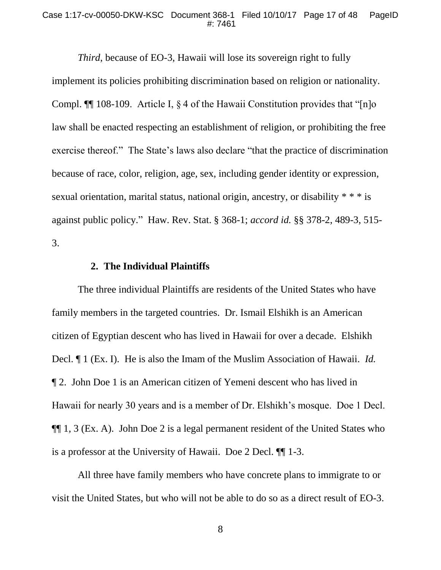#### Case 1:17-cv-00050-DKW-KSC Document 368-1 Filed 10/10/17 Page 17 of 48 PageID #: 7461

*Third*, because of EO-3, Hawaii will lose its sovereign right to fully implement its policies prohibiting discrimination based on religion or nationality. Compl.  $\P$  108-109. Article I,  $\frac{1}{2}$  of the Hawaii Constitution provides that "[n]o law shall be enacted respecting an establishment of religion, or prohibiting the free exercise thereof." The State's laws also declare "that the practice of discrimination because of race, color, religion, age, sex, including gender identity or expression, sexual orientation, marital status, national origin, ancestry, or disability \* \* \* is against public policy." Haw. Rev. Stat. § 368-1; *accord id.* §§ 378-2, 489-3, 515- 3.

# **2. The Individual Plaintiffs**

The three individual Plaintiffs are residents of the United States who have family members in the targeted countries. Dr. Ismail Elshikh is an American citizen of Egyptian descent who has lived in Hawaii for over a decade. Elshikh Decl. ¶ 1 (Ex. I). He is also the Imam of the Muslim Association of Hawaii. *Id.* ¶ 2. John Doe 1 is an American citizen of Yemeni descent who has lived in Hawaii for nearly 30 years and is a member of Dr. Elshikh's mosque. Doe 1 Decl. ¶¶ 1, 3 (Ex. A). John Doe 2 is a legal permanent resident of the United States who is a professor at the University of Hawaii. Doe 2 Decl. ¶¶ 1-3.

All three have family members who have concrete plans to immigrate to or visit the United States, but who will not be able to do so as a direct result of EO-3.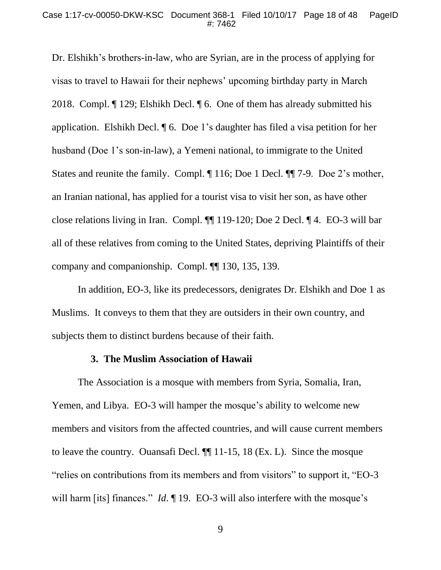Dr. Elshikh's brothers-in-law, who are Syrian, are in the process of applying for visas to travel to Hawaii for their nephews' upcoming birthday party in March 2018. Compl. ¶ 129; Elshikh Decl. ¶ 6. One of them has already submitted his application. Elshikh Decl. ¶ 6. Doe 1's daughter has filed a visa petition for her husband (Doe 1's son-in-law), a Yemeni national, to immigrate to the United States and reunite the family. Compl. ¶ 116; Doe 1 Decl. ¶¶ 7-9. Doe 2's mother, an Iranian national, has applied for a tourist visa to visit her son, as have other close relations living in Iran. Compl. ¶¶ 119-120; Doe 2 Decl. ¶ 4. EO-3 will bar all of these relatives from coming to the United States, depriving Plaintiffs of their company and companionship. Compl. ¶¶ 130, 135, 139.

In addition, EO-3, like its predecessors, denigrates Dr. Elshikh and Doe 1 as Muslims. It conveys to them that they are outsiders in their own country, and subjects them to distinct burdens because of their faith.

#### **3. The Muslim Association of Hawaii**

The Association is a mosque with members from Syria, Somalia, Iran, Yemen, and Libya. EO-3 will hamper the mosque's ability to welcome new members and visitors from the affected countries, and will cause current members to leave the country. Ouansafi Decl. ¶¶ 11-15, 18 (Ex. L). Since the mosque "relies on contributions from its members and from visitors" to support it, "EO-3 will harm [its] finances." *Id*. 19. EO-3 will also interfere with the mosque's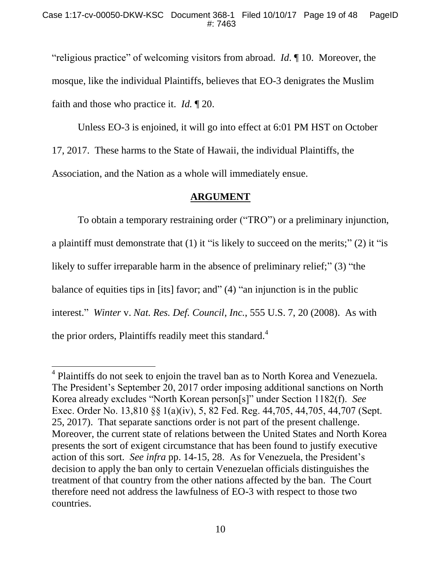"religious practice" of welcoming visitors from abroad. *Id*. ¶ 10. Moreover, the mosque, like the individual Plaintiffs, believes that EO-3 denigrates the Muslim faith and those who practice it. *Id.* ¶ 20.

Unless EO-3 is enjoined, it will go into effect at 6:01 PM HST on October 17, 2017. These harms to the State of Hawaii, the individual Plaintiffs, the Association, and the Nation as a whole will immediately ensue.

# **ARGUMENT**

To obtain a temporary restraining order ("TRO") or a preliminary injunction, a plaintiff must demonstrate that (1) it "is likely to succeed on the merits;" (2) it "is likely to suffer irreparable harm in the absence of preliminary relief;" (3) "the balance of equities tips in [its] favor; and" (4) "an injunction is in the public interest." *Winter* v. *Nat. Res. Def. Council*, *Inc.*, 555 U.S. 7, 20 (2008). As with the prior orders, Plaintiffs readily meet this standard.<sup>4</sup>

 $\overline{a}$ 

<sup>&</sup>lt;sup>4</sup> Plaintiffs do not seek to enjoin the travel ban as to North Korea and Venezuela. The President's September 20, 2017 order imposing additional sanctions on North Korea already excludes "North Korean person[s]" under Section 1182(f). *See* Exec. Order No. 13,810 §§ 1(a)(iv), 5, 82 Fed. Reg. 44,705, 44,705, 44,707 (Sept. 25, 2017). That separate sanctions order is not part of the present challenge. Moreover, the current state of relations between the United States and North Korea presents the sort of exigent circumstance that has been found to justify executive action of this sort. *See infra* pp. 14-15, 28. As for Venezuela, the President's decision to apply the ban only to certain Venezuelan officials distinguishes the treatment of that country from the other nations affected by the ban. The Court therefore need not address the lawfulness of EO-3 with respect to those two countries.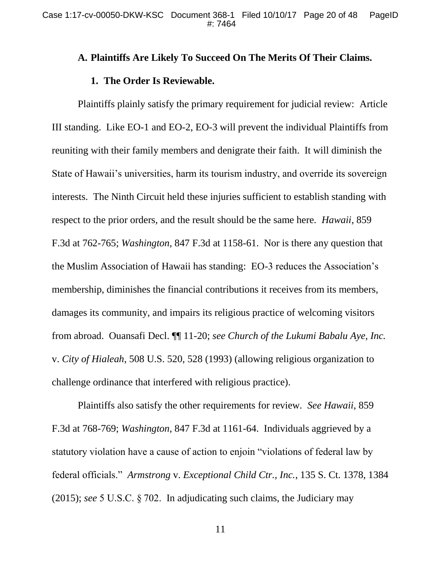## **A. Plaintiffs Are Likely To Succeed On The Merits Of Their Claims.**

#### **1. The Order Is Reviewable.**

Plaintiffs plainly satisfy the primary requirement for judicial review: Article III standing. Like EO-1 and EO-2, EO-3 will prevent the individual Plaintiffs from reuniting with their family members and denigrate their faith. It will diminish the State of Hawaii's universities, harm its tourism industry, and override its sovereign interests. The Ninth Circuit held these injuries sufficient to establish standing with respect to the prior orders, and the result should be the same here. *Hawaii*, 859 F.3d at 762-765; *Washington,* 847 F.3d at 1158-61. Nor is there any question that the Muslim Association of Hawaii has standing: EO-3 reduces the Association's membership, diminishes the financial contributions it receives from its members, damages its community, and impairs its religious practice of welcoming visitors from abroad. Ouansafi Decl. ¶¶ 11-20; *see Church of the Lukumi Babalu Aye, Inc.* v. *City of Hialeah*, 508 U.S. 520, 528 (1993) (allowing religious organization to challenge ordinance that interfered with religious practice).

Plaintiffs also satisfy the other requirements for review. *See Hawaii*, 859 F.3d at 768-769; *Washington*, 847 F.3d at 1161-64. Individuals aggrieved by a statutory violation have a cause of action to enjoin "violations of federal law by federal officials." *Armstrong* v. *Exceptional Child Ctr., Inc.*, 135 S. Ct. 1378, 1384 (2015); *see* 5 U.S.C. § 702. In adjudicating such claims, the Judiciary may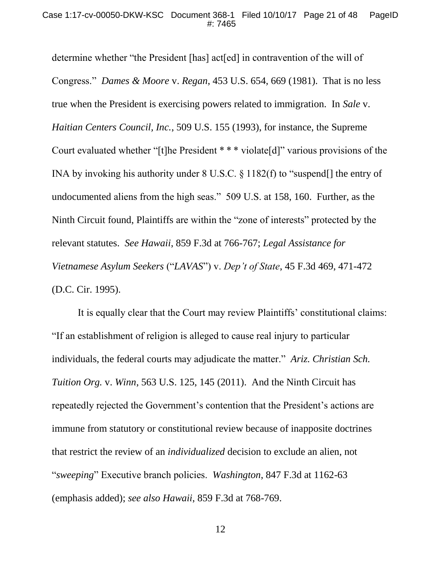determine whether "the President [has] act[ed] in contravention of the will of Congress." *Dames & Moore* v. *Regan*, 453 U.S. 654, 669 (1981). That is no less true when the President is exercising powers related to immigration. In *Sale* v. *Haitian Centers Council, Inc.*, 509 U.S. 155 (1993), for instance, the Supreme Court evaluated whether "[t]he President \* \* \* violate[d]" various provisions of the INA by invoking his authority under 8 U.S.C. § 1182(f) to "suspend[] the entry of undocumented aliens from the high seas." 509 U.S. at 158, 160. Further, as the Ninth Circuit found, Plaintiffs are within the "zone of interests" protected by the relevant statutes. *See Hawaii*, 859 F.3d at 766-767; *Legal Assistance for Vietnamese Asylum Seekers* ("*LAVAS*") v. *Dep't of State*, 45 F.3d 469, 471-472 (D.C. Cir. 1995).

It is equally clear that the Court may review Plaintiffs' constitutional claims: "If an establishment of religion is alleged to cause real injury to particular individuals, the federal courts may adjudicate the matter." *Ariz. Christian Sch. Tuition Org.* v. *Winn*, 563 U.S. 125, 145 (2011). And the Ninth Circuit has repeatedly rejected the Government's contention that the President's actions are immune from statutory or constitutional review because of inapposite doctrines that restrict the review of an *individualized* decision to exclude an alien, not "*sweeping*" Executive branch policies. *Washington*, 847 F.3d at 1162-63 (emphasis added); *see also Hawaii*, 859 F.3d at 768-769.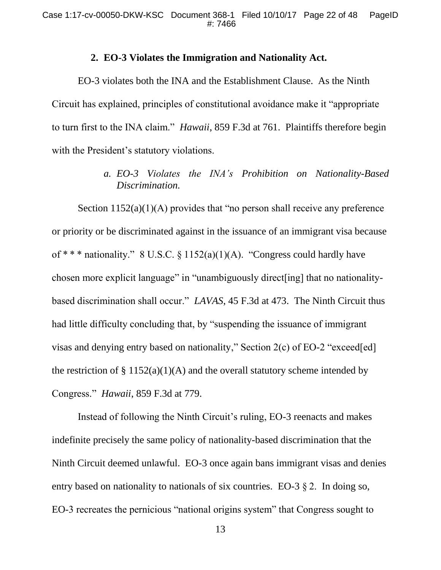# **2. EO-3 Violates the Immigration and Nationality Act.**

EO-3 violates both the INA and the Establishment Clause. As the Ninth Circuit has explained, principles of constitutional avoidance make it "appropriate to turn first to the INA claim." *Hawaii*, 859 F.3d at 761. Plaintiffs therefore begin with the President's statutory violations.

# *a. EO-3 Violates the INA's Prohibition on Nationality-Based Discrimination.*

Section 1152(a)(1)(A) provides that "no person shall receive any preference or priority or be discriminated against in the issuance of an immigrant visa because of \*\*\* nationality." 8 U.S.C.  $\S 1152(a)(1)(A)$ . "Congress could hardly have chosen more explicit language" in "unambiguously direct[ing] that no nationalitybased discrimination shall occur." *LAVAS*, 45 F.3d at 473. The Ninth Circuit thus had little difficulty concluding that, by "suspending the issuance of immigrant visas and denying entry based on nationality," Section 2(c) of EO-2 "exceed[ed] the restriction of  $\S 1152(a)(1)(A)$  and the overall statutory scheme intended by Congress." *Hawaii*, 859 F.3d at 779.

Instead of following the Ninth Circuit's ruling, EO-3 reenacts and makes indefinite precisely the same policy of nationality-based discrimination that the Ninth Circuit deemed unlawful. EO-3 once again bans immigrant visas and denies entry based on nationality to nationals of six countries. EO-3 § 2. In doing so, EO-3 recreates the pernicious "national origins system" that Congress sought to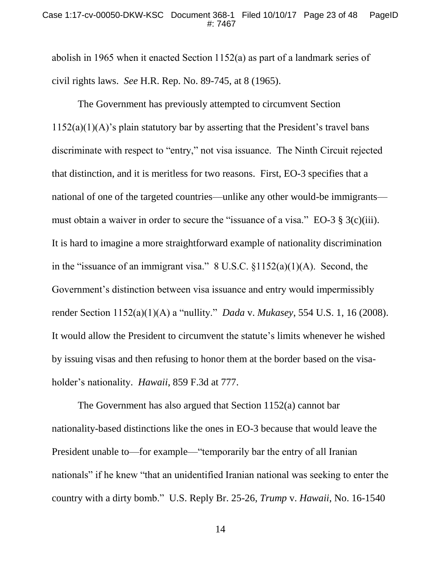abolish in 1965 when it enacted Section 1152(a) as part of a landmark series of civil rights laws. *See* H.R. Rep. No. 89-745, at 8 (1965).

The Government has previously attempted to circumvent Section  $1152(a)(1)(A)$ 's plain statutory bar by asserting that the President's travel bans discriminate with respect to "entry," not visa issuance. The Ninth Circuit rejected that distinction, and it is meritless for two reasons. First, EO-3 specifies that a national of one of the targeted countries—unlike any other would-be immigrants must obtain a waiver in order to secure the "issuance of a visa." EO-3 § 3(c)(iii). It is hard to imagine a more straightforward example of nationality discrimination in the "issuance of an immigrant visa." 8 U.S.C. §1152(a)(1)(A). Second, the Government's distinction between visa issuance and entry would impermissibly render Section 1152(a)(1)(A) a "nullity." *Dada* v. *Mukasey*, 554 U.S. 1, 16 (2008). It would allow the President to circumvent the statute's limits whenever he wished by issuing visas and then refusing to honor them at the border based on the visaholder's nationality. *Hawaii*, 859 F.3d at 777.

The Government has also argued that Section 1152(a) cannot bar nationality-based distinctions like the ones in EO-3 because that would leave the President unable to—for example—"temporarily bar the entry of all Iranian nationals" if he knew "that an unidentified Iranian national was seeking to enter the country with a dirty bomb." U.S. Reply Br. 25-26, *Trump* v. *Hawaii*, No. 16-1540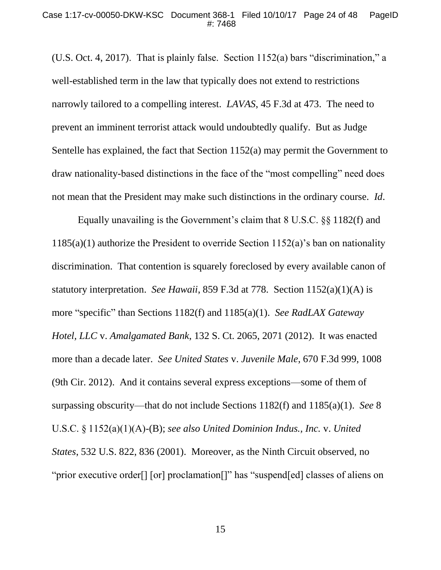(U.S. Oct. 4, 2017). That is plainly false. Section 1152(a) bars "discrimination," a well-established term in the law that typically does not extend to restrictions narrowly tailored to a compelling interest. *LAVAS*, 45 F.3d at 473. The need to prevent an imminent terrorist attack would undoubtedly qualify. But as Judge Sentelle has explained, the fact that Section 1152(a) may permit the Government to draw nationality-based distinctions in the face of the "most compelling" need does not mean that the President may make such distinctions in the ordinary course. *Id*.

Equally unavailing is the Government's claim that 8 U.S.C. §§ 1182(f) and 1185(a)(1) authorize the President to override Section 1152(a)'s ban on nationality discrimination. That contention is squarely foreclosed by every available canon of statutory interpretation. *See Hawaii*, 859 F.3d at 778. Section 1152(a)(1)(A) is more "specific" than Sections 1182(f) and 1185(a)(1). *See RadLAX Gateway Hotel, LLC* v. *Amalgamated Bank*, 132 S. Ct. 2065, 2071 (2012). It was enacted more than a decade later. *See United States* v. *Juvenile Male*, 670 F.3d 999, 1008 (9th Cir. 2012). And it contains several express exceptions—some of them of surpassing obscurity—that do not include Sections 1182(f) and 1185(a)(1). *See* 8 U.S.C. § 1152(a)(1)(A)-(B); *see also United Dominion Indus., Inc.* v. *United States*, 532 U.S. 822, 836 (2001). Moreover, as the Ninth Circuit observed, no "prior executive order[] [or] proclamation[]" has "suspend[ed] classes of aliens on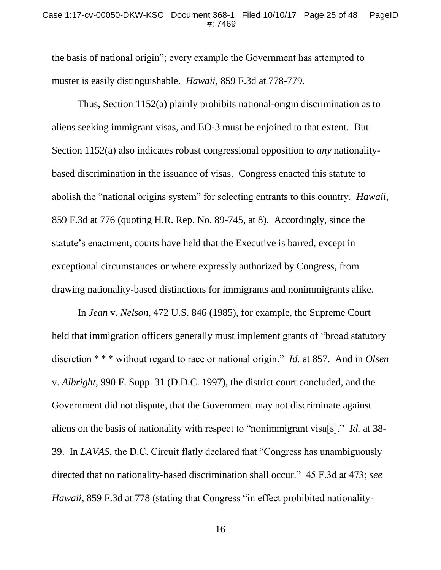the basis of national origin"; every example the Government has attempted to muster is easily distinguishable. *Hawaii*, 859 F.3d at 778-779.

Thus, Section 1152(a) plainly prohibits national-origin discrimination as to aliens seeking immigrant visas, and EO-3 must be enjoined to that extent. But Section 1152(a) also indicates robust congressional opposition to *any* nationalitybased discrimination in the issuance of visas. Congress enacted this statute to abolish the "national origins system" for selecting entrants to this country. *Hawaii*, 859 F.3d at 776 (quoting H.R. Rep. No. 89-745, at 8). Accordingly, since the statute's enactment, courts have held that the Executive is barred, except in exceptional circumstances or where expressly authorized by Congress, from drawing nationality-based distinctions for immigrants and nonimmigrants alike.

In *Jean* v. *Nelson*, 472 U.S. 846 (1985), for example, the Supreme Court held that immigration officers generally must implement grants of "broad statutory discretion \* \* \* without regard to race or national origin." *Id.* at 857. And in *Olsen*  v. *Albright*, 990 F. Supp. 31 (D.D.C. 1997), the district court concluded, and the Government did not dispute, that the Government may not discriminate against aliens on the basis of nationality with respect to "nonimmigrant visa[s]." *Id.* at 38- 39. In *LAVAS*, the D.C. Circuit flatly declared that "Congress has unambiguously directed that no nationality-based discrimination shall occur." 45 F.3d at 473; *see Hawaii*, 859 F.3d at 778 (stating that Congress "in effect prohibited nationality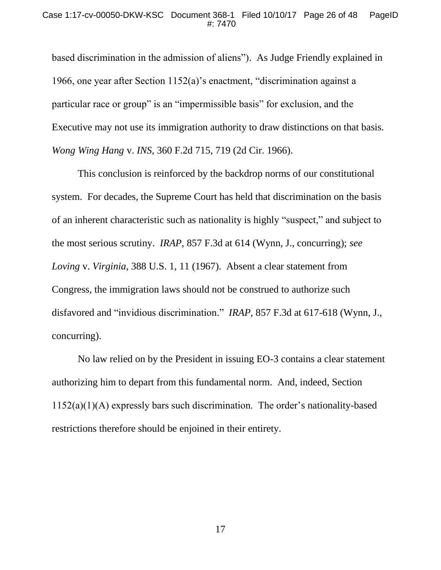based discrimination in the admission of aliens"). As Judge Friendly explained in 1966, one year after Section 1152(a)'s enactment, "discrimination against a particular race or group" is an "impermissible basis" for exclusion, and the Executive may not use its immigration authority to draw distinctions on that basis. *Wong Wing Hang* v. *INS*, 360 F.2d 715, 719 (2d Cir. 1966).

This conclusion is reinforced by the backdrop norms of our constitutional system. For decades, the Supreme Court has held that discrimination on the basis of an inherent characteristic such as nationality is highly "suspect," and subject to the most serious scrutiny. *IRAP*, 857 F.3d at 614 (Wynn, J., concurring); *see Loving* v. *Virginia*, 388 U.S. 1, 11 (1967).Absent a clear statement from Congress, the immigration laws should not be construed to authorize such disfavored and "invidious discrimination." *IRAP*, 857 F.3d at 617-618 (Wynn, J., concurring).

No law relied on by the President in issuing EO-3 contains a clear statement authorizing him to depart from this fundamental norm. And, indeed, Section 1152(a)(1)(A) expressly bars such discrimination. The order's nationality-based restrictions therefore should be enjoined in their entirety.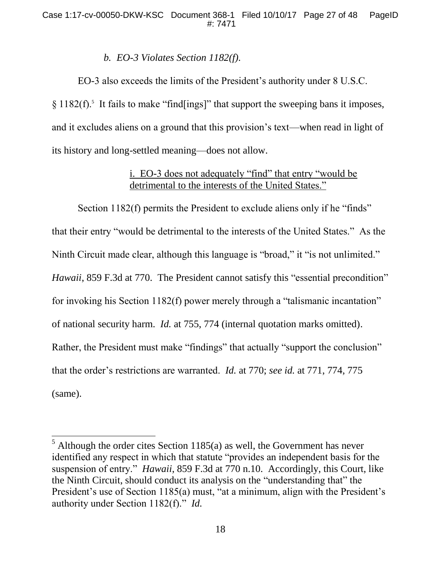# *b. EO-3 Violates Section 1182(f).*

EO-3 also exceeds the limits of the President's authority under 8 U.S.C. § 1182(f).<sup>5</sup> It fails to make "find[ings]" that support the sweeping bans it imposes, and it excludes aliens on a ground that this provision's text—when read in light of its history and long-settled meaning—does not allow.

# i. EO-3 does not adequately "find" that entry "would be detrimental to the interests of the United States."

Section 1182(f) permits the President to exclude aliens only if he "finds" that their entry "would be detrimental to the interests of the United States." As the Ninth Circuit made clear, although this language is "broad," it "is not unlimited." *Hawaii*, 859 F.3d at 770. The President cannot satisfy this "essential precondition" for invoking his Section 1182(f) power merely through a "talismanic incantation" of national security harm. *Id.* at 755, 774 (internal quotation marks omitted). Rather, the President must make "findings" that actually "support the conclusion" that the order's restrictions are warranted. *Id.* at 770; *see id.* at 771, 774, 775 (same).

 $5$  Although the order cites Section 1185(a) as well, the Government has never identified any respect in which that statute "provides an independent basis for the suspension of entry." *Hawaii*, 859 F.3d at 770 n.10. Accordingly, this Court, like the Ninth Circuit, should conduct its analysis on the "understanding that" the President's use of Section 1185(a) must, "at a minimum, align with the President's authority under Section 1182(f)." *Id.*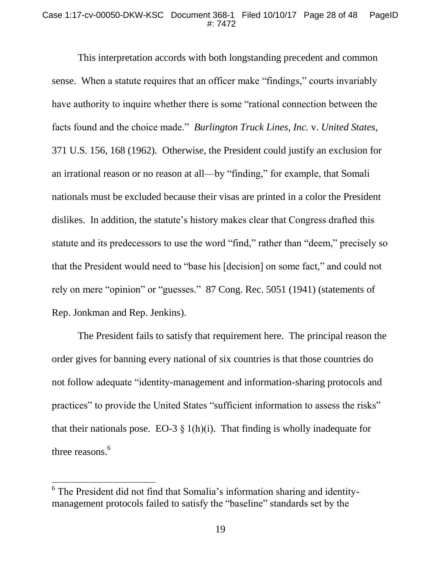This interpretation accords with both longstanding precedent and common sense. When a statute requires that an officer make "findings," courts invariably have authority to inquire whether there is some "rational connection between the facts found and the choice made." *Burlington Truck Lines, Inc.* v. *United States*, 371 U.S. 156, 168 (1962)*.* Otherwise, the President could justify an exclusion for an irrational reason or no reason at all—by "finding," for example, that Somali nationals must be excluded because their visas are printed in a color the President dislikes. In addition, the statute's history makes clear that Congress drafted this statute and its predecessors to use the word "find," rather than "deem," precisely so that the President would need to "base his [decision] on some fact," and could not rely on mere "opinion" or "guesses." 87 Cong. Rec. 5051 (1941) (statements of Rep. Jonkman and Rep. Jenkins).

The President fails to satisfy that requirement here. The principal reason the order gives for banning every national of six countries is that those countries do not follow adequate "identity-management and information-sharing protocols and practices" to provide the United States "sufficient information to assess the risks" that their nationals pose. EO-3  $\S$  1(h)(i). That finding is wholly inadequate for three reasons.<sup>6</sup>

<sup>&</sup>lt;sup>6</sup> The President did not find that Somalia's information sharing and identitymanagement protocols failed to satisfy the "baseline" standards set by the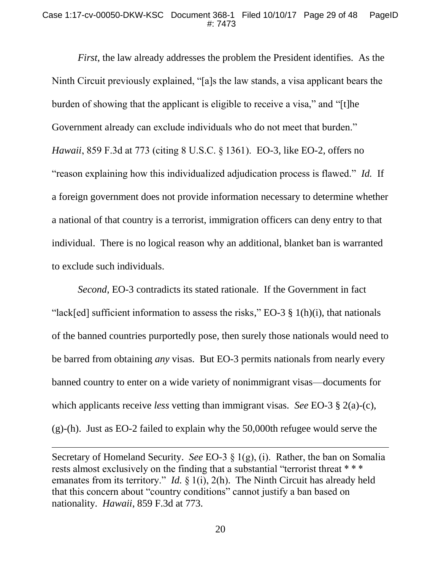*First*, the law already addresses the problem the President identifies. As the Ninth Circuit previously explained, "[a]s the law stands, a visa applicant bears the burden of showing that the applicant is eligible to receive a visa," and "[t]he Government already can exclude individuals who do not meet that burden." *Hawaii*, 859 F.3d at 773 (citing 8 U.S.C. § 1361). EO-3, like EO-2, offers no "reason explaining how this individualized adjudication process is flawed." *Id.* If a foreign government does not provide information necessary to determine whether a national of that country is a terrorist, immigration officers can deny entry to that individual. There is no logical reason why an additional, blanket ban is warranted to exclude such individuals.

*Second*, EO-3 contradicts its stated rationale. If the Government in fact "lack[ed] sufficient information to assess the risks," EO-3  $\S$  1(h)(i), that nationals of the banned countries purportedly pose, then surely those nationals would need to be barred from obtaining *any* visas. But EO-3 permits nationals from nearly every banned country to enter on a wide variety of nonimmigrant visas—documents for which applicants receive *less* vetting than immigrant visas. *See* EO-3 § 2(a)-(c), (g)-(h). Just as EO-2 failed to explain why the 50,000th refugee would serve the

Secretary of Homeland Security. *See* EO-3 § 1(g), (i). Rather, the ban on Somalia rests almost exclusively on the finding that a substantial "terrorist threat \*\*\* emanates from its territory." *Id.* § 1(i), 2(h). The Ninth Circuit has already held that this concern about "country conditions" cannot justify a ban based on nationality. *Hawaii*, 859 F.3d at 773.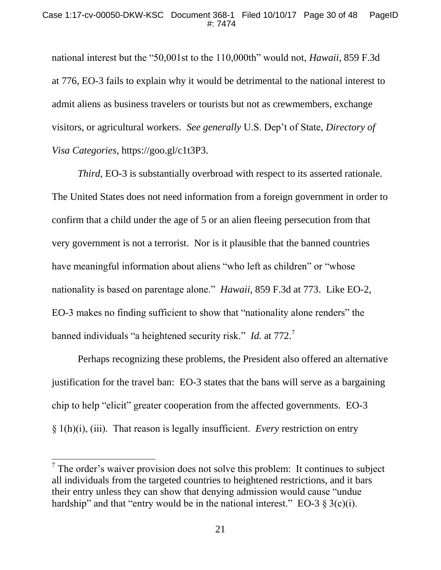national interest but the "50,001st to the 110,000th" would not, *Hawaii*, 859 F.3d at 776, EO-3 fails to explain why it would be detrimental to the national interest to admit aliens as business travelers or tourists but not as crewmembers, exchange visitors, or agricultural workers. *See generally* U.S. Dep't of State, *Directory of Visa Categories*, https://goo.gl/c1t3P3.

*Third*, EO-3 is substantially overbroad with respect to its asserted rationale. The United States does not need information from a foreign government in order to confirm that a child under the age of 5 or an alien fleeing persecution from that very government is not a terrorist. Nor is it plausible that the banned countries have meaningful information about aliens "who left as children" or "whose nationality is based on parentage alone." *Hawaii*, 859 F.3d at 773. Like EO-2, EO-3 makes no finding sufficient to show that "nationality alone renders" the banned individuals "a heightened security risk." *Id.* at 772.<sup>7</sup>

Perhaps recognizing these problems, the President also offered an alternative justification for the travel ban: EO-3 states that the bans will serve as a bargaining chip to help "elicit" greater cooperation from the affected governments. EO-3 § 1(h)(i), (iii). That reason is legally insufficient. *Every* restriction on entry

 $<sup>7</sup>$  The order's waiver provision does not solve this problem: It continues to subject</sup> all individuals from the targeted countries to heightened restrictions, and it bars their entry unless they can show that denying admission would cause "undue hardship" and that "entry would be in the national interest." EO-3  $\S$  3(c)(i).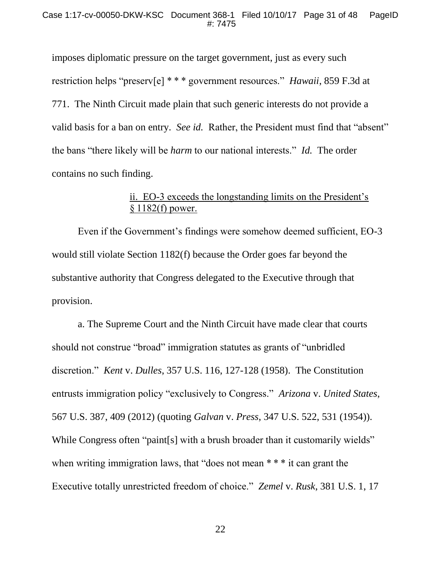imposes diplomatic pressure on the target government, just as every such restriction helps "preserv[e] \* \* \* government resources." *Hawaii*, 859 F.3d at 771. The Ninth Circuit made plain that such generic interests do not provide a valid basis for a ban on entry. *See id.* Rather, the President must find that "absent" the bans "there likely will be *harm* to our national interests." *Id.* The order contains no such finding.

# ii. EO-3 exceeds the longstanding limits on the President's § 1182(f) power.

Even if the Government's findings were somehow deemed sufficient, EO-3 would still violate Section 1182(f) because the Order goes far beyond the substantive authority that Congress delegated to the Executive through that provision.

a. The Supreme Court and the Ninth Circuit have made clear that courts should not construe "broad" immigration statutes as grants of "unbridled discretion." *Kent* v. *Dulles*, 357 U.S. 116, 127-128 (1958). The Constitution entrusts immigration policy "exclusively to Congress." *Arizona* v. *United States*, 567 U.S. 387, 409 (2012) (quoting *Galvan* v. *Press*, 347 U.S. 522, 531 (1954)). While Congress often "paint[s] with a brush broader than it customarily wields" when writing immigration laws, that "does not mean \*\*\* it can grant the Executive totally unrestricted freedom of choice." *Zemel* v. *Rusk*, 381 U.S. 1, 17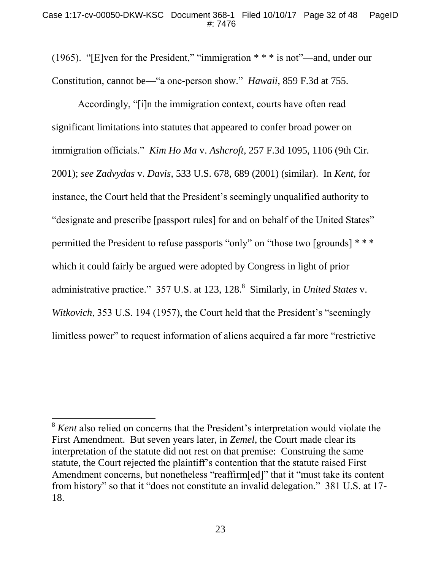(1965). "[E]ven for the President," "immigration \* \* \* is not"—and, under our Constitution, cannot be—"a one-person show." *Hawaii*, 859 F.3d at 755.

Accordingly, "[i]n the immigration context, courts have often read significant limitations into statutes that appeared to confer broad power on immigration officials." *Kim Ho Ma* v. *Ashcroft*, 257 F.3d 1095, 1106 (9th Cir. 2001); *see Zadvydas* v. *Davis*, 533 U.S. 678, 689 (2001) (similar). In *Kent*, for instance, the Court held that the President's seemingly unqualified authority to "designate and prescribe [passport rules] for and on behalf of the United States" permitted the President to refuse passports "only" on "those two [grounds] \* \* \* which it could fairly be argued were adopted by Congress in light of prior administrative practice." 357 U.S. at 123, 128.<sup>8</sup> Similarly, in *United States* v. *Witkovich*, 353 U.S. 194 (1957), the Court held that the President's "seemingly limitless power" to request information of aliens acquired a far more "restrictive

<sup>&</sup>lt;sup>8</sup> *Kent* also relied on concerns that the President's interpretation would violate the First Amendment. But seven years later, in *Zemel*, the Court made clear its interpretation of the statute did not rest on that premise: Construing the same statute, the Court rejected the plaintiff's contention that the statute raised First Amendment concerns, but nonetheless "reaffirm[ed]" that it "must take its content from history" so that it "does not constitute an invalid delegation." 381 U.S. at 17- 18.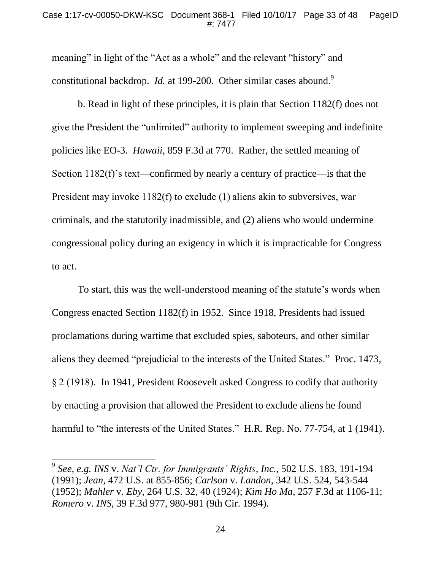meaning" in light of the "Act as a whole" and the relevant "history" and constitutional backdrop. *Id.* at 199-200. Other similar cases abound.<sup>9</sup>

b. Read in light of these principles, it is plain that Section 1182(f) does not give the President the "unlimited" authority to implement sweeping and indefinite policies like EO-3. *Hawaii*, 859 F.3d at 770. Rather, the settled meaning of Section 1182(f)'s text—confirmed by nearly a century of practice—is that the President may invoke 1182(f) to exclude (1) aliens akin to subversives, war criminals, and the statutorily inadmissible, and (2) aliens who would undermine congressional policy during an exigency in which it is impracticable for Congress to act.

To start, this was the well-understood meaning of the statute's words when Congress enacted Section 1182(f) in 1952. Since 1918, Presidents had issued proclamations during wartime that excluded spies, saboteurs, and other similar aliens they deemed "prejudicial to the interests of the United States." Proc. 1473, § 2 (1918). In 1941, President Roosevelt asked Congress to codify that authority by enacting a provision that allowed the President to exclude aliens he found harmful to "the interests of the United States." H.R. Rep. No. 77-754, at 1 (1941).

<sup>9</sup> *See, e.g. INS* v. *Nat'l Ctr. for Immigrants' Rights, Inc.*, 502 U.S. 183, 191-194 (1991); *Jean*, 472 U.S. at 855-856; *Carlson* v. *Landon*, 342 U.S. 524, 543-544 (1952); *Mahler* v. *Eby*, 264 U.S. 32, 40 (1924); *Kim Ho Ma*, 257 F.3d at 1106-11; *Romero* v. *INS*, 39 F.3d 977, 980-981 (9th Cir. 1994).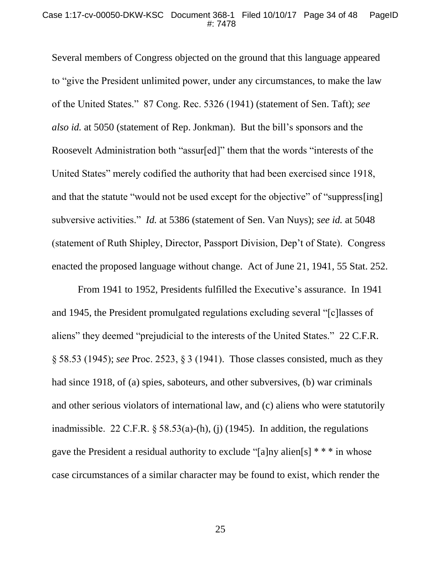Several members of Congress objected on the ground that this language appeared to "give the President unlimited power, under any circumstances, to make the law of the United States." 87 Cong. Rec. 5326 (1941) (statement of Sen. Taft); *see also id.* at 5050 (statement of Rep. Jonkman). But the bill's sponsors and the Roosevelt Administration both "assur[ed]" them that the words "interests of the United States" merely codified the authority that had been exercised since 1918, and that the statute "would not be used except for the objective" of "suppress[ing] subversive activities." *Id.* at 5386 (statement of Sen. Van Nuys); *see id.* at 5048 (statement of Ruth Shipley, Director, Passport Division, Dep't of State). Congress enacted the proposed language without change. Act of June 21, 1941, 55 Stat. 252.

From 1941 to 1952, Presidents fulfilled the Executive's assurance. In 1941 and 1945, the President promulgated regulations excluding several "[c]lasses of aliens" they deemed "prejudicial to the interests of the United States." 22 C.F.R. § 58.53 (1945); *see* Proc. 2523, § 3 (1941). Those classes consisted, much as they had since 1918, of (a) spies, saboteurs, and other subversives, (b) war criminals and other serious violators of international law, and (c) aliens who were statutorily inadmissible. 22 C.F.R.  $\frac{58.53(a)}{h}$ , (i) (1945). In addition, the regulations gave the President a residual authority to exclude " $[a]$ ny alien $[s]$  \* \* \* in whose case circumstances of a similar character may be found to exist, which render the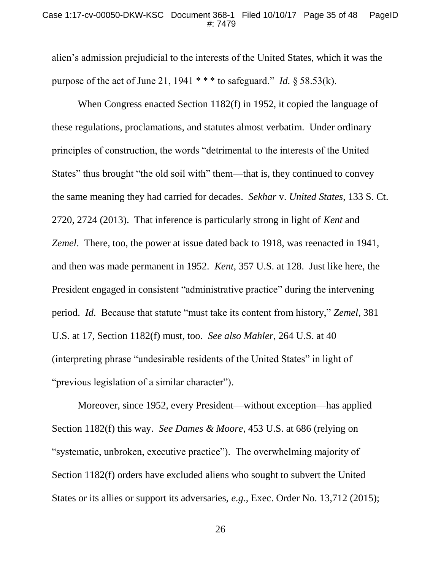alien's admission prejudicial to the interests of the United States, which it was the purpose of the act of June 21, 1941 \* \* \* to safeguard." *Id.* § 58.53(k).

When Congress enacted Section 1182(f) in 1952, it copied the language of these regulations, proclamations, and statutes almost verbatim. Under ordinary principles of construction, the words "detrimental to the interests of the United States" thus brought "the old soil with" them—that is, they continued to convey the same meaning they had carried for decades. *Sekhar* v. *United States*, 133 S. Ct. 2720, 2724 (2013). That inference is particularly strong in light of *Kent* and *Zemel*. There, too, the power at issue dated back to 1918, was reenacted in 1941, and then was made permanent in 1952. *Kent*, 357 U.S. at 128. Just like here, the President engaged in consistent "administrative practice" during the intervening period. *Id.* Because that statute "must take its content from history," *Zemel*, 381 U.S. at 17, Section 1182(f) must, too. *See also Mahler*, 264 U.S. at 40 (interpreting phrase "undesirable residents of the United States" in light of "previous legislation of a similar character").

Moreover, since 1952, every President—without exception—has applied Section 1182(f) this way. *See Dames & Moore*, 453 U.S. at 686 (relying on "systematic, unbroken, executive practice"). The overwhelming majority of Section 1182(f) orders have excluded aliens who sought to subvert the United States or its allies or support its adversaries, *e.g.*, Exec. Order No. 13,712 (2015);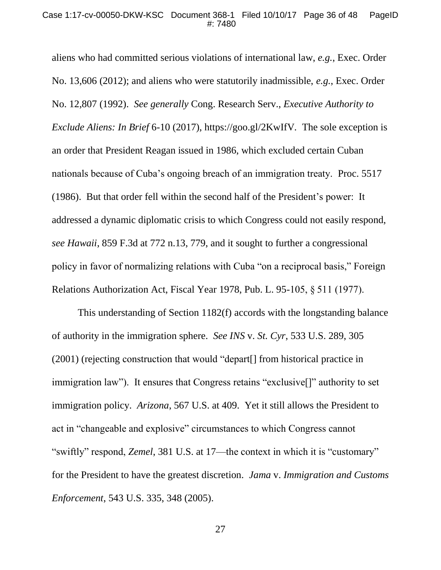aliens who had committed serious violations of international law, *e.g.*, Exec. Order No. 13,606 (2012); and aliens who were statutorily inadmissible, *e.g.*, Exec. Order No. 12,807 (1992). *See generally* Cong. Research Serv., *Executive Authority to Exclude Aliens: In Brief* 6-10 (2017), https://goo.gl/2KwIfV*.* The sole exception is an order that President Reagan issued in 1986, which excluded certain Cuban nationals because of Cuba's ongoing breach of an immigration treaty. Proc. 5517 (1986). But that order fell within the second half of the President's power: It addressed a dynamic diplomatic crisis to which Congress could not easily respond, *see Hawaii*, 859 F.3d at 772 n.13, 779, and it sought to further a congressional policy in favor of normalizing relations with Cuba "on a reciprocal basis," Foreign Relations Authorization Act, Fiscal Year 1978, Pub. L. 95-105, § 511 (1977).

This understanding of Section 1182(f) accords with the longstanding balance of authority in the immigration sphere. *See INS* v. *St. Cyr*, 533 U.S. 289, 305 (2001) (rejecting construction that would "depart[] from historical practice in immigration law"). It ensures that Congress retains "exclusive[]" authority to set immigration policy. *Arizona*, 567 U.S. at 409. Yet it still allows the President to act in "changeable and explosive" circumstances to which Congress cannot "swiftly" respond, *Zemel*, 381 U.S. at 17—the context in which it is "customary" for the President to have the greatest discretion. *Jama* v. *Immigration and Customs Enforcement*, 543 U.S. 335, 348 (2005).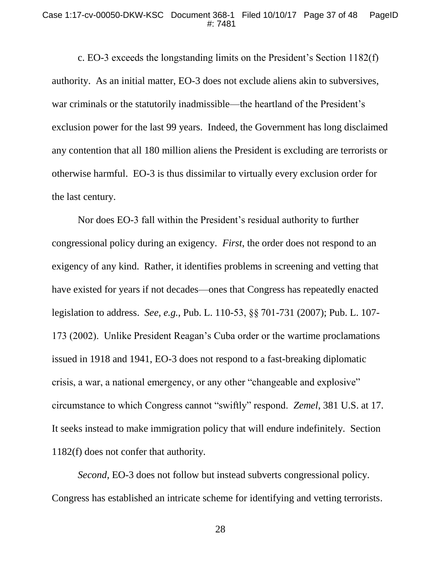c. EO-3 exceeds the longstanding limits on the President's Section 1182(f) authority. As an initial matter, EO-3 does not exclude aliens akin to subversives, war criminals or the statutorily inadmissible—the heartland of the President's exclusion power for the last 99 years. Indeed, the Government has long disclaimed any contention that all 180 million aliens the President is excluding are terrorists or otherwise harmful. EO-3 is thus dissimilar to virtually every exclusion order for the last century.

Nor does EO-3 fall within the President's residual authority to further congressional policy during an exigency. *First*, the order does not respond to an exigency of any kind. Rather, it identifies problems in screening and vetting that have existed for years if not decades—ones that Congress has repeatedly enacted legislation to address. *See, e.g.*, Pub. L. 110-53, §§ 701-731 (2007); Pub. L. 107- 173 (2002). Unlike President Reagan's Cuba order or the wartime proclamations issued in 1918 and 1941, EO-3 does not respond to a fast-breaking diplomatic crisis, a war, a national emergency, or any other "changeable and explosive" circumstance to which Congress cannot "swiftly" respond. *Zemel*, 381 U.S. at 17. It seeks instead to make immigration policy that will endure indefinitely. Section 1182(f) does not confer that authority.

*Second*, EO-3 does not follow but instead subverts congressional policy. Congress has established an intricate scheme for identifying and vetting terrorists.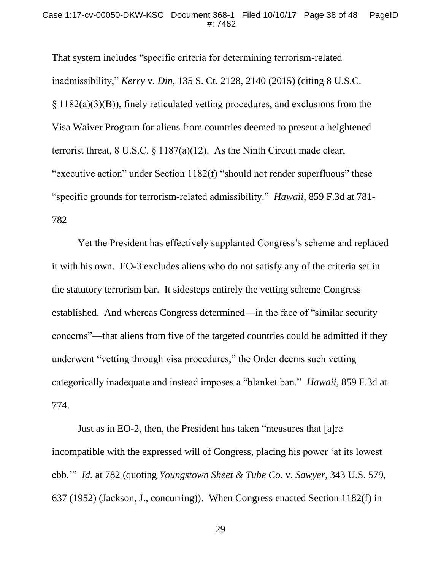That system includes "specific criteria for determining terrorism-related inadmissibility," *Kerry* v. *Din*, 135 S. Ct. 2128, 2140 (2015) (citing 8 U.S.C. § 1182(a)(3)(B)), finely reticulated vetting procedures, and exclusions from the Visa Waiver Program for aliens from countries deemed to present a heightened terrorist threat, 8 U.S.C. § 1187(a)(12). As the Ninth Circuit made clear, "executive action" under Section 1182(f) "should not render superfluous" these "specific grounds for terrorism-related admissibility." *Hawaii*, 859 F.3d at 781- 782

Yet the President has effectively supplanted Congress's scheme and replaced it with his own. EO-3 excludes aliens who do not satisfy any of the criteria set in the statutory terrorism bar. It sidesteps entirely the vetting scheme Congress established. And whereas Congress determined—in the face of "similar security concerns"—that aliens from five of the targeted countries could be admitted if they underwent "vetting through visa procedures," the Order deems such vetting categorically inadequate and instead imposes a "blanket ban." *Hawaii*, 859 F.3d at 774.

Just as in EO-2, then, the President has taken "measures that [a]re incompatible with the expressed will of Congress, placing his power 'at its lowest ebb.'" *Id.* at 782 (quoting *Youngstown Sheet & Tube Co.* v. *Sawyer*, 343 U.S. 579, 637 (1952) (Jackson, J., concurring)). When Congress enacted Section 1182(f) in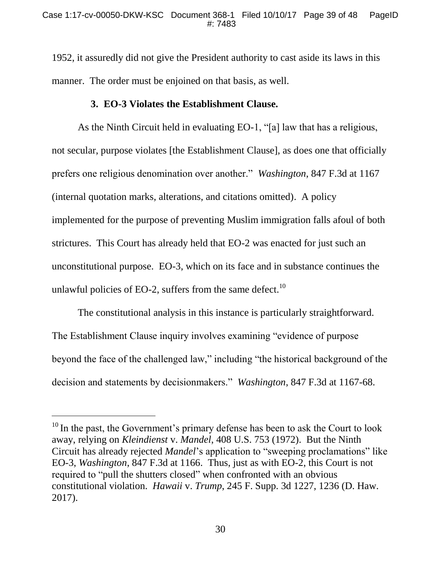1952, it assuredly did not give the President authority to cast aside its laws in this manner. The order must be enjoined on that basis, as well.

## **3. EO-3 Violates the Establishment Clause.**

As the Ninth Circuit held in evaluating EO-1, "[a] law that has a religious, not secular, purpose violates [the Establishment Clause], as does one that officially prefers one religious denomination over another." *Washington*, 847 F.3d at 1167 (internal quotation marks, alterations, and citations omitted). A policy implemented for the purpose of preventing Muslim immigration falls afoul of both strictures. This Court has already held that EO-2 was enacted for just such an unconstitutional purpose. EO-3, which on its face and in substance continues the unlawful policies of EO-2, suffers from the same defect.<sup>10</sup>

The constitutional analysis in this instance is particularly straightforward. The Establishment Clause inquiry involves examining "evidence of purpose beyond the face of the challenged law," including "the historical background of the decision and statements by decisionmakers." *Washington*, 847 F.3d at 1167-68.

<sup>&</sup>lt;sup>10</sup> In the past, the Government's primary defense has been to ask the Court to look away, relying on *Kleindienst* v. *Mandel*, 408 U.S. 753 (1972). But the Ninth Circuit has already rejected *Mandel*'s application to "sweeping proclamations" like EO-3, *Washington*, 847 F.3d at 1166. Thus, just as with EO-2, this Court is not required to "pull the shutters closed" when confronted with an obvious constitutional violation. *Hawaii* v. *Trump*, 245 F. Supp. 3d 1227, 1236 (D. Haw. 2017).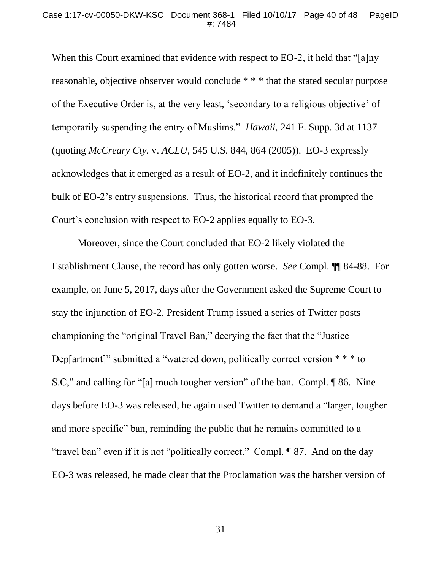When this Court examined that evidence with respect to EO-2, it held that "[a]ny reasonable, objective observer would conclude \* \* \* that the stated secular purpose of the Executive Order is, at the very least, 'secondary to a religious objective' of temporarily suspending the entry of Muslims." *Hawaii*, 241 F. Supp. 3d at 1137 (quoting *McCreary Cty.* v. *ACLU*, 545 U.S. 844, 864 (2005)). EO-3 expressly acknowledges that it emerged as a result of EO-2, and it indefinitely continues the bulk of EO-2's entry suspensions. Thus, the historical record that prompted the Court's conclusion with respect to EO-2 applies equally to EO-3.

Moreover, since the Court concluded that EO-2 likely violated the Establishment Clause, the record has only gotten worse. *See* Compl. ¶¶ 84-88. For example, on June 5, 2017, days after the Government asked the Supreme Court to stay the injunction of EO-2, President Trump issued a series of Twitter posts championing the "original Travel Ban," decrying the fact that the "Justice Dep[artment]" submitted a "watered down, politically correct version  $***$  to S.C," and calling for "[a] much tougher version" of the ban. Compl. ¶ 86. Nine days before EO-3 was released, he again used Twitter to demand a "larger, tougher and more specific" ban, reminding the public that he remains committed to a "travel ban" even if it is not "politically correct." Compl. ¶ 87. And on the day EO-3 was released, he made clear that the Proclamation was the harsher version of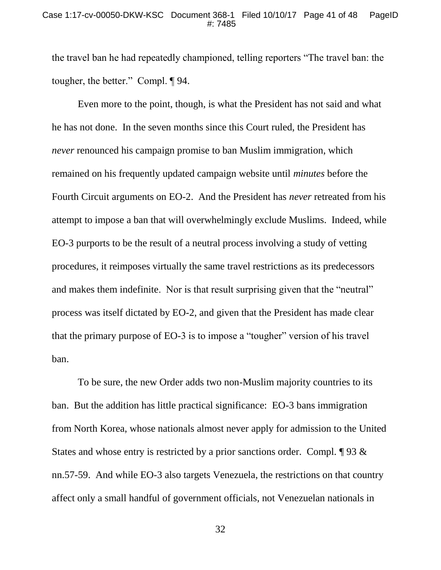the travel ban he had repeatedly championed, telling reporters "The travel ban: the tougher, the better." Compl. ¶ 94.

Even more to the point, though, is what the President has not said and what he has not done. In the seven months since this Court ruled, the President has *never* renounced his campaign promise to ban Muslim immigration, which remained on his frequently updated campaign website until *minutes* before the Fourth Circuit arguments on EO-2. And the President has *never* retreated from his attempt to impose a ban that will overwhelmingly exclude Muslims. Indeed, while EO-3 purports to be the result of a neutral process involving a study of vetting procedures, it reimposes virtually the same travel restrictions as its predecessors and makes them indefinite. Nor is that result surprising given that the "neutral" process was itself dictated by EO-2, and given that the President has made clear that the primary purpose of EO-3 is to impose a "tougher" version of his travel ban.

To be sure, the new Order adds two non-Muslim majority countries to its ban. But the addition has little practical significance: EO-3 bans immigration from North Korea, whose nationals almost never apply for admission to the United States and whose entry is restricted by a prior sanctions order. Compl. ¶ 93 & nn.57-59. And while EO-3 also targets Venezuela, the restrictions on that country affect only a small handful of government officials, not Venezuelan nationals in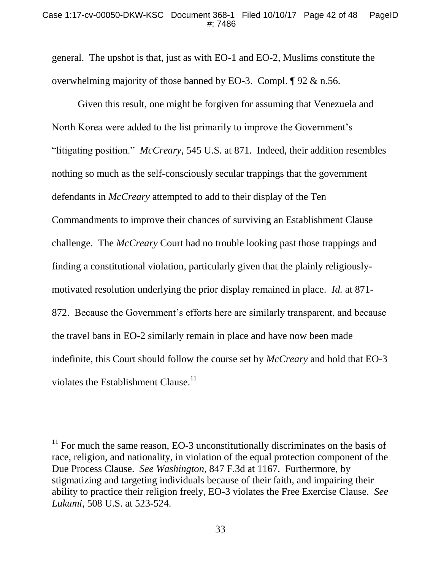general. The upshot is that, just as with EO-1 and EO-2, Muslims constitute the overwhelming majority of those banned by EO-3. Compl. ¶ 92 & n.56.

Given this result, one might be forgiven for assuming that Venezuela and North Korea were added to the list primarily to improve the Government's "litigating position." *McCreary*, 545 U.S. at 871. Indeed, their addition resembles nothing so much as the self-consciously secular trappings that the government defendants in *McCreary* attempted to add to their display of the Ten Commandments to improve their chances of surviving an Establishment Clause challenge. The *McCreary* Court had no trouble looking past those trappings and finding a constitutional violation, particularly given that the plainly religiouslymotivated resolution underlying the prior display remained in place. *Id.* at 871- 872.Because the Government's efforts here are similarly transparent, and because the travel bans in EO-2 similarly remain in place and have now been made indefinite, this Court should follow the course set by *McCreary* and hold that EO-3 violates the Establishment Clause.<sup>11</sup>

 $11$  For much the same reason, EO-3 unconstitutionally discriminates on the basis of race, religion, and nationality, in violation of the equal protection component of the Due Process Clause. *See Washington*, 847 F.3d at 1167. Furthermore, by stigmatizing and targeting individuals because of their faith, and impairing their ability to practice their religion freely, EO-3 violates the Free Exercise Clause. *See Lukumi*, 508 U.S. at 523-524.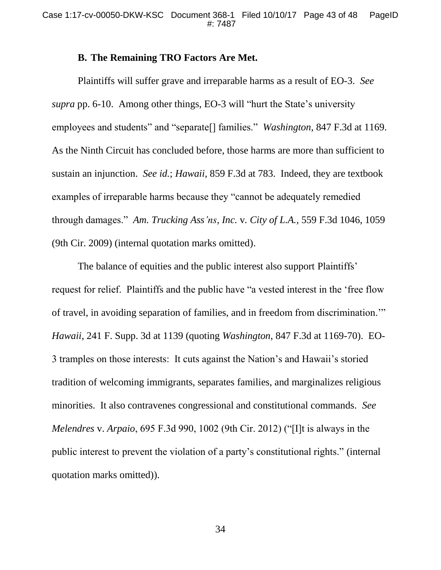## **B. The Remaining TRO Factors Are Met.**

Plaintiffs will suffer grave and irreparable harms as a result of EO-3. *See supra* pp. 6-10. Among other things, EO-3 will "hurt the State's university employees and students" and "separate[] families." *Washington*, 847 F.3d at 1169. As the Ninth Circuit has concluded before, those harms are more than sufficient to sustain an injunction. *See id.*; *Hawaii*, 859 F.3d at 783. Indeed, they are textbook examples of irreparable harms because they "cannot be adequately remedied through damages." *Am. Trucking Ass'ns, Inc.* v*. City of L.A.*, 559 F.3d 1046, 1059 (9th Cir. 2009) (internal quotation marks omitted).

The balance of equities and the public interest also support Plaintiffs' request for relief. Plaintiffs and the public have "a vested interest in the 'free flow of travel, in avoiding separation of families, and in freedom from discrimination.'" *Hawaii*, 241 F. Supp. 3d at 1139 (quoting *Washington*, 847 F.3d at 1169-70). EO-3 tramples on those interests: It cuts against the Nation's and Hawaii's storied tradition of welcoming immigrants, separates families, and marginalizes religious minorities. It also contravenes congressional and constitutional commands. *See Melendres* v. *Arpaio*, 695 F.3d 990, 1002 (9th Cir. 2012) ("[I]t is always in the public interest to prevent the violation of a party's constitutional rights." (internal quotation marks omitted)).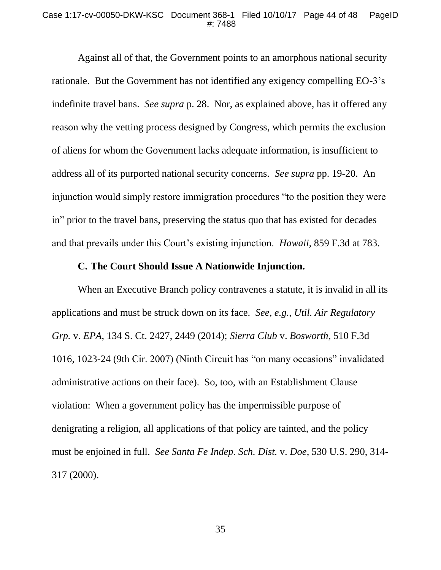#### Case 1:17-cv-00050-DKW-KSC Document 368-1 Filed 10/10/17 Page 44 of 48 PageID #: 7488

Against all of that, the Government points to an amorphous national security rationale. But the Government has not identified any exigency compelling EO-3's indefinite travel bans. *See supra* p. 28. Nor, as explained above, has it offered any reason why the vetting process designed by Congress, which permits the exclusion of aliens for whom the Government lacks adequate information, is insufficient to address all of its purported national security concerns. *See supra* pp. 19-20. An injunction would simply restore immigration procedures "to the position they were in" prior to the travel bans, preserving the status quo that has existed for decades and that prevails under this Court's existing injunction. *Hawaii*, 859 F.3d at 783.

# **C. The Court Should Issue A Nationwide Injunction.**

When an Executive Branch policy contravenes a statute, it is invalid in all its applications and must be struck down on its face. *See, e.g.*, *Util. Air Regulatory Grp.* v. *EPA*, 134 S. Ct. 2427, 2449 (2014); *Sierra Club* v. *Bosworth*, 510 F.3d 1016, 1023-24 (9th Cir. 2007) (Ninth Circuit has "on many occasions" invalidated administrative actions on their face). So, too, with an Establishment Clause violation: When a government policy has the impermissible purpose of denigrating a religion, all applications of that policy are tainted, and the policy must be enjoined in full. *See Santa Fe Indep. Sch. Dist.* v. *Doe*, 530 U.S. 290, 314- 317 (2000).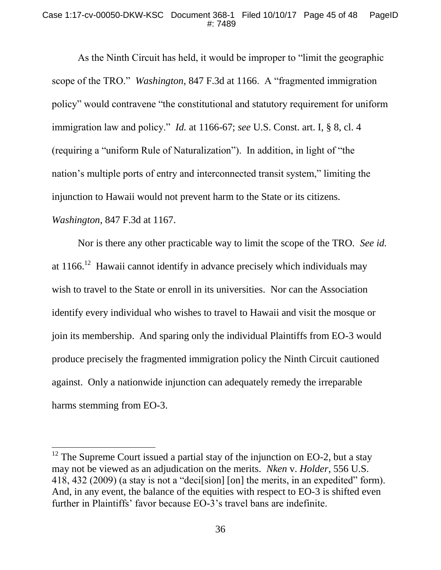#### Case 1:17-cv-00050-DKW-KSC Document 368-1 Filed 10/10/17 Page 45 of 48 PageID #: 7489

As the Ninth Circuit has held, it would be improper to "limit the geographic scope of the TRO." *Washington*, 847 F.3d at 1166. A "fragmented immigration policy" would contravene "the constitutional and statutory requirement for uniform immigration law and policy." *Id.* at 1166-67; *see* U.S. Const. art. I, § 8, cl. 4 (requiring a "uniform Rule of Naturalization"). In addition, in light of "the nation's multiple ports of entry and interconnected transit system," limiting the injunction to Hawaii would not prevent harm to the State or its citizens. *Washington*, 847 F.3d at 1167.

Nor is there any other practicable way to limit the scope of the TRO. *See id.* at  $1166$ .<sup>12</sup> Hawaii cannot identify in advance precisely which individuals may wish to travel to the State or enroll in its universities. Nor can the Association identify every individual who wishes to travel to Hawaii and visit the mosque or join its membership. And sparing only the individual Plaintiffs from EO-3 would produce precisely the fragmented immigration policy the Ninth Circuit cautioned against. Only a nationwide injunction can adequately remedy the irreparable harms stemming from EO-3.

 $12$  The Supreme Court issued a partial stay of the injunction on EO-2, but a stay may not be viewed as an adjudication on the merits. *Nken* v. *Holder*, 556 U.S. 418, 432 (2009) (a stay is not a "deci[sion] [on] the merits, in an expedited" form). And, in any event, the balance of the equities with respect to EO-3 is shifted even further in Plaintiffs' favor because EO-3's travel bans are indefinite.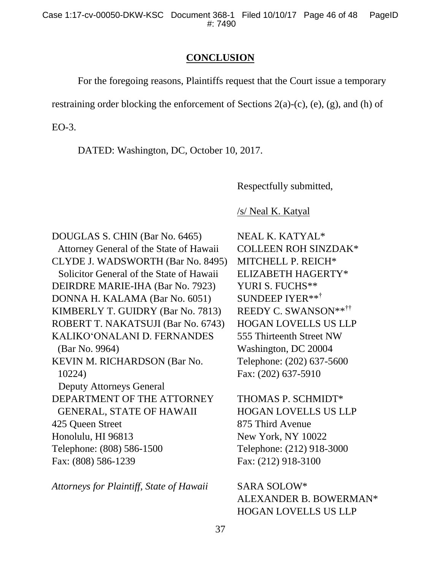## **CONCLUSION**

For the foregoing reasons, Plaintiffs request that the Court issue a temporary

restraining order blocking the enforcement of Sections 2(a)-(c), (e), (g), and (h) of

EO-3.

DATED: Washington, DC, October 10, 2017.

Respectfully submitted,

/s/ Neal K. Katyal

DOUGLAS S. CHIN (Bar No. 6465) Attorney General of the State of Hawaii CLYDE J. WADSWORTH (Bar No. 8495) Solicitor General of the State of Hawaii DEIRDRE MARIE-IHA (Bar No. 7923) DONNA H. KALAMA (Bar No. 6051) KIMBERLY T. GUIDRY (Bar No. 7813) ROBERT T. NAKATSUJI (Bar No. 6743) KALIKO'ONALANI D. FERNANDES (Bar No. 9964) KEVIN M. RICHARDSON (Bar No. 10224) Deputy Attorneys General DEPARTMENT OF THE ATTORNEY GENERAL, STATE OF HAWAII 425 Queen Street Honolulu, HI 96813 Telephone: (808) 586-1500 Fax: (808) 586-1239

*Attorneys for Plaintiff, State of Hawaii*

NEAL K. KATYAL\* COLLEEN ROH SINZDAK\* MITCHELL P. REICH\* ELIZABETH HAGERTY\* YURI S. FUCHS\*\* SUNDEEP IYER\*\*† REEDY C. SWANSON\*\*†† HOGAN LOVELLS US LLP 555 Thirteenth Street NW Washington, DC 20004 Telephone: (202) 637-5600 Fax: (202) 637-5910

THOMAS P. SCHMIDT\* HOGAN LOVELLS US LLP 875 Third Avenue New York, NY 10022 Telephone: (212) 918-3000 Fax: (212) 918-3100

SARA SOLOW\* ALEXANDER B. BOWERMAN\* HOGAN LOVELLS US LLP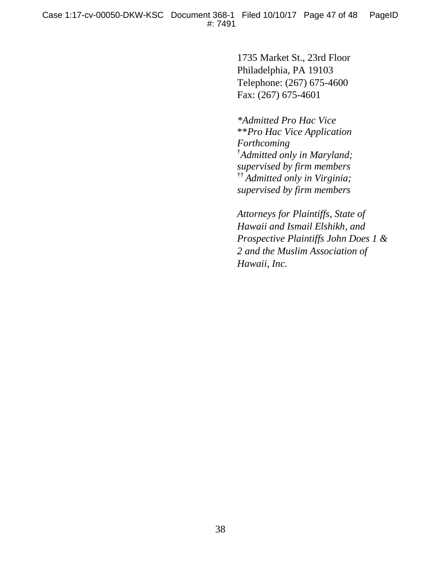1735 Market St., 23rd Floor Philadelphia, PA 19103 Telephone: (267) 675-4600 Fax: (267) 675-4601

*\*Admitted Pro Hac Vice* \*\**Pro Hac Vice Application Forthcoming* † *Admitted only in Maryland; supervised by firm members*  †† *Admitted only in Virginia; supervised by firm members*

*Attorneys for Plaintiffs, State of Hawaii and Ismail Elshikh, and Prospective Plaintiffs John Does 1 & 2 and the Muslim Association of Hawaii, Inc.*